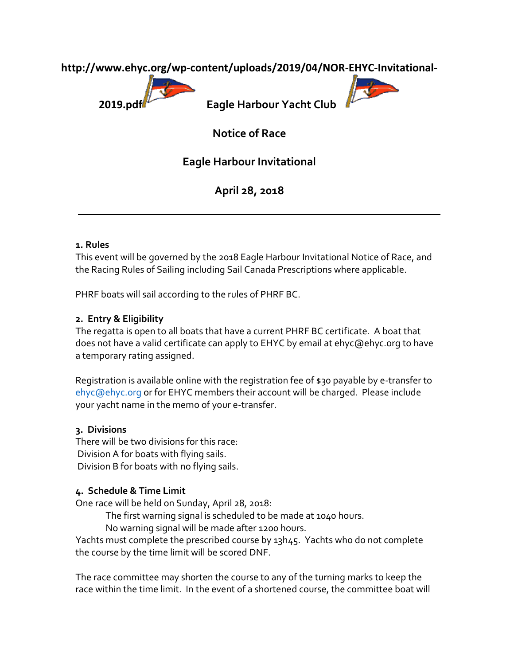**http://www.ehyc.org/wp-content/uploads/2019/04/NOR-EHYC-Invitational-**



**2019.pdf Eagle Harbour Yacht Club** 

E

**Notice of Race**

**Eagle Harbour Invitational**

**April 28, 2018**

## **1. Rules**

This event will be governed by the 2018 Eagle Harbour Invitational Notice of Race, and the Racing Rules of Sailing including Sail Canada Prescriptions where applicable.

PHRF boats will sail according to the rules of PHRF BC.

## **2. Entry & Eligibility**

The regatta is open to all boats that have a current PHRF BC certificate. A boat that does not have a valid certificate can apply to EHYC by email at ehyc@ehyc.org to have a temporary rating assigned.

Registration is available online with the registration fee of \$30 payable by e-transfer to [ehyc@ehyc.org](mailto:ehyc@ehyc.org) or for EHYC members their account will be charged. Please include your yacht name in the memo of your e-transfer.

## **3. Divisions**

There will be two divisions for this race: Division A for boats with flying sails. Division B for boats with no flying sails.

## **4. Schedule & Time Limit**

One race will be held on Sunday, April 28, 2018:

The first warning signal is scheduled to be made at 1040 hours.

No warning signal will be made after 1200 hours.

Yachts must complete the prescribed course by 13h45. Yachts who do not complete the course by the time limit will be scored DNF.

The race committee may shorten the course to any of the turning marks to keep the race within the time limit. In the event of a shortened course, the committee boat will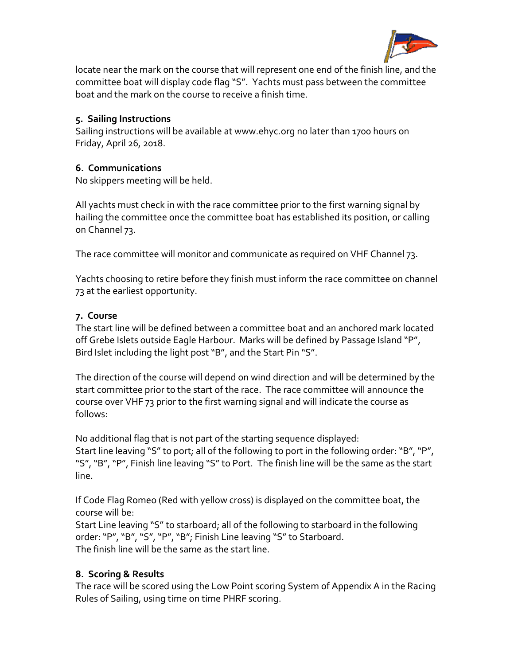

locate near the mark on the course that will represent one end of the finish line, and the committee boat will display code flag "S". Yachts must pass between the committee boat and the mark on the course to receive a finish time.

#### **5. Sailing Instructions**

Sailing instructions will be available at www.ehyc.org no later than 1700 hours on Friday, April 26, 2018.

## **6. Communications**

No skippers meeting will be held.

All yachts must check in with the race committee prior to the first warning signal by hailing the committee once the committee boat has established its position, or calling on Channel 73.

The race committee will monitor and communicate as required on VHF Channel 73.

Yachts choosing to retire before they finish must inform the race committee on channel 73 at the earliest opportunity.

### **7. Course**

The start line will be defined between a committee boat and an anchored mark located off Grebe Islets outside Eagle Harbour. Marks will be defined by Passage Island "P", Bird Islet including the light post "B", and the Start Pin "S".

The direction of the course will depend on wind direction and will be determined by the start committee prior to the start of the race. The race committee will announce the course over VHF 73 prior to the first warning signal and will indicate the course as follows:

No additional flag that is not part of the starting sequence displayed: Start line leaving "S" to port; all of the following to port in the following order: "B", "P", "S", "B", "P", Finish line leaving "S" to Port. The finish line will be the same as the start line.

If Code Flag Romeo (Red with yellow cross) is displayed on the committee boat, the course will be:

Start Line leaving "S" to starboard; all of the following to starboard in the following order:"P", "B", "S", "P", "B"; Finish Line leaving "S" to Starboard. The finish line will be the same as the start line.

## **8. Scoring & Results**

The race will be scored using the Low Point scoring System of Appendix A in the Racing Rules of Sailing, using time on time PHRF scoring.